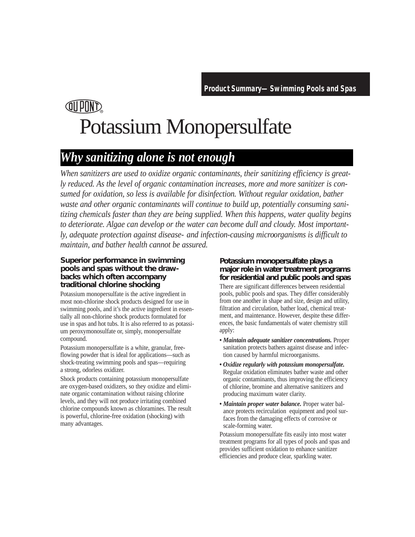# **QU POND** Potassium Monopersulfate

### *Why sanitizing alone is not enough*

*When sanitizers are used to oxidize organic contaminants, their sanitizing efficiency is greatly reduced. As the level of organic contamination increases, more and more sanitizer is consumed for oxidation, so less is available for disinfection. Without regular oxidation, bather waste and other organic contaminants will continue to build up, potentially consuming sanitizing chemicals faster than they are being supplied. When this happens, water quality begins to deteriorate. Algae can develop or the water can become dull and cloudy. Most importantly, adequate protection against disease- and infection-causing microorganisms is difficult to maintain, and bather health cannot be assured.*

#### **Superior performance in swimming pools and spas without the drawbacks which often accompany traditional chlorine shocking**

Potassium monopersulfate is the active ingredient in most non-chlorine shock products designed for use in swimming pools, and it's the active ingredient in essentially all non-chlorine shock products formulated for use in spas and hot tubs. It is also referred to as potassium peroxymonosulfate or, simply, monopersulfate compound.

Potassium monopersulfate is a white, granular, freeflowing powder that is ideal for applications—such as shock-treating swimming pools and spas—requiring a strong, odorless oxidizer.

Shock products containing potassium monopersulfate are oxygen-based oxidizers, so they oxidize and eliminate organic contamination without raising chlorine levels, and they will not produce irritating combined chlorine compounds known as chloramines. The result is powerful, chlorine-free oxidation (shocking) with many advantages.

#### **Potassium monopersulfate plays a major role in water treatment programs for residential and public pools and spas**

There are significant differences between residential pools, public pools and spas. They differ considerably from one another in shape and size, design and utility, filtration and circulation, bather load, chemical treatment, and maintenance. However, despite these differences, the basic fundamentals of water chemistry still apply:

- *Maintain adequate sanitizer concentrations.* Proper sanitation protects bathers against disease and infection caused by harmful microorganisms.
- *Oxidize regularly with potassium monopersulfate.* Regular oxidation eliminates bather waste and other organic contaminants, thus improving the efficiency of chlorine, bromine and alternative sanitizers and producing maximum water clarity.
- *Maintain proper water balance.* Proper water balance protects recirculation equipment and pool surfaces from the damaging effects of corrosive or scale-forming water.

Potassium monopersulfate fits easily into most water treatment programs for all types of pools and spas and provides sufficient oxidation to enhance sanitizer efficiencies and produce clear, sparkling water.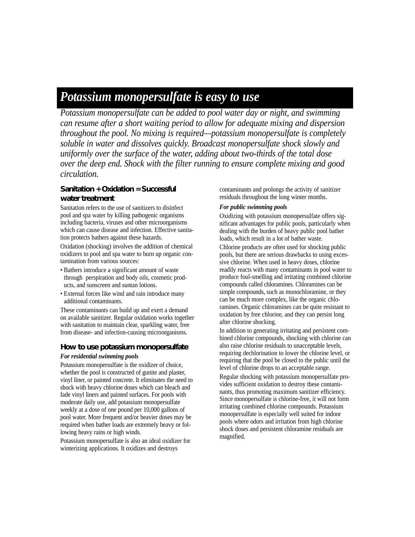## *Potassium monopersulfate is easy to use*

*Potassium monopersulfate can be added to pool water day or night, and swimming can resume after a short waiting period to allow for adequate mixing and dispersion throughout the pool. No mixing is required—potassium monopersulfate is completely soluble in water and dissolves quickly. Broadcast monopersulfate shock slowly and uniformly over the surface of the water, adding about two-thirds of the total dose over the deep end. Shock with the filter running to ensure complete mixing and good circulation.*

#### **Sanitation + Oxidation = Successful water treatment**

Sanitation refers to the use of sanitizers to disinfect pool and spa water by killing pathogenic organisms including bacteria, viruses and other microorganisms which can cause disease and infection. Effective sanitation protects bathers against these hazards.

Oxidation (shocking) involves the addition of chemical oxidizers to pool and spa water to burn up organic contamination from various sources:

- Bathers introduce a significant amount of waste through perspiration and body oils, cosmetic products, and sunscreen and suntan lotions.
- External forces like wind and rain introduce many additional contaminants.

These contaminants can build up and exert a demand on available sanitizer. Regular oxidation works together with sanitation to maintain clear, sparkling water, free from disease- and infection-causing microorganisms.

#### **How to use potassium monopersulfate**

#### *For residential swimming pools*

Potassium monopersulfate is the oxidizer of choice, whether the pool is constructed of gunite and plaster, vinyl liner, or painted concrete. It eliminates the need to shock with heavy chlorine doses which can bleach and fade vinyl liners and painted surfaces. For pools with moderate daily use, add potassium monopersulfate weekly at a dose of one pound per 10,000 gallons of pool water. More frequent and/or heavier doses may be required when bather loads are extremely heavy or following heavy rains or high winds.

Potassium monopersulfate is also an ideal oxidizer for winterizing applications. It oxidizes and destroys

contaminants and prolongs the activity of sanitizer residuals throughout the long winter months.

#### *For public swimming pools*

Oxidizing with potassium monopersulfate offers significant advantages for public pools, particularly when dealing with the burden of heavy public pool bather loads, which result in a lot of bather waste.

Chlorine products are often used for shocking public pools, but there are serious drawbacks to using excessive chlorine. When used in heavy doses, chlorine readily reacts with many contaminants in pool water to produce foul-smelling and irritating combined chlorine compounds called chloramines. Chloramines can be simple compounds, such as monochloramine, or they can be much more complex, like the organic chloramines. Organic chloramines can be quite resistant to oxidation by free chlorine, and they can persist long after chlorine shocking.

In addition to generating irritating and persistent combined chlorine compounds, shocking with chlorine can also raise chlorine residuals to unacceptable levels, requiring dechlorination to lower the chlorine level, or requiring that the pool be closed to the public until the level of chlorine drops to an acceptable range.

Regular shocking with potassium monopersulfate provides sufficient oxidation to destroy these contaminants, thus promoting maximum sanitizer efficiency. Since monopersulfate is chlorine-free, it will not form irritating combined chlorine compounds. Potassium monopersulfate is especially well suited for indoor pools where odors and irritation from high chlorine shock doses and persistent chloramine residuals are magnified.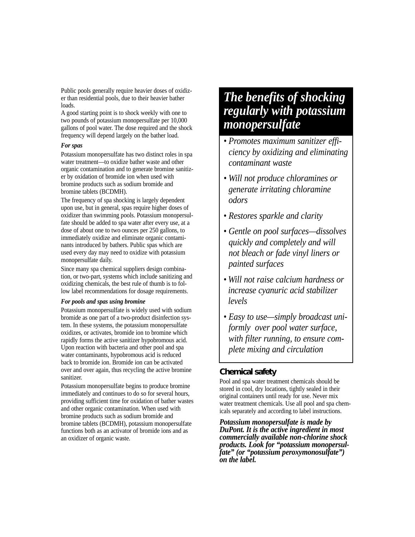Public pools generally require heavier doses of oxidizer than residential pools, due to their heavier bather loads.

A good starting point is to shock weekly with one to two pounds of potassium monopersulfate per 10,000 gallons of pool water. The dose required and the shock frequency will depend largely on the bather load.

#### *For spas*

Potassium monopersulfate has two distinct roles in spa water treatment—to oxidize bather waste and other organic contamination and to generate bromine sanitizer by oxidation of bromide ion when used with bromine products such as sodium bromide and bromine tablets (BCDMH).

The frequency of spa shocking is largely dependent upon use, but in general, spas require higher doses of oxidizer than swimming pools. Potassium monopersulfate should be added to spa water after every use, at a dose of about one to two ounces per 250 gallons, to immediately oxidize and eliminate organic contaminants introduced by bathers. Public spas which are used every day may need to oxidize with potassium monopersulfate daily.

Since many spa chemical suppliers design combination, or two-part, systems which include sanitizing and oxidizing chemicals, the best rule of thumb is to follow label recommendations for dosage requirements.

#### *For pools and spas using bromine*

Potassium monopersulfate is widely used with sodium bromide as one part of a two-product disinfection system. In these systems, the potassium monopersulfate oxidizes, or activates, bromide ion to bromine which rapidly forms the active sanitizer hypobromous acid. Upon reaction with bacteria and other pool and spa water contaminants, hypobromous acid is reduced back to bromide ion. Bromide ion can be activated over and over again, thus recycling the active bromine sanitizer.

Potassium monopersulfate begins to produce bromine immediately and continues to do so for several hours, providing sufficient time for oxidation of bather wastes and other organic contamination. When used with bromine products such as sodium bromide and bromine tablets (BCDMH), potassium monopersulfate functions both as an activator of bromide ions and as an oxidizer of organic waste.

### *The benefits of shocking regularly with potassium monopersulfate*

- *Promotes maximum sanitizer efficiency by oxidizing and eliminating contaminant waste*
- *• Will not produce chloramines or generate irritating chloramine odors*
- *Restores sparkle and clarity*
- *Gentle on pool surfaces—dissolves quickly and completely and will not bleach or fade vinyl liners or painted surfaces*
- *• Will not raise calcium hardness or increase cyanuric acid stabilizer levels*
- *Easy to use—simply broadcast uniformly over pool water surface, with filter running, to ensure complete mixing and circulation*

### **Chemical safety**

Pool and spa water treatment chemicals should be stored in cool, dry locations, tightly sealed in their original containers until ready for use. Never mix water treatment chemicals. Use all pool and spa chemicals separately and according to label instructions.

*Potassium monopersulfate is made by DuPont. It is the active ingredient in most commercially available non-chlorine shock products. Look for "potassium monopersul fate" (or "potassium peroxymonosulfate") on the label.*